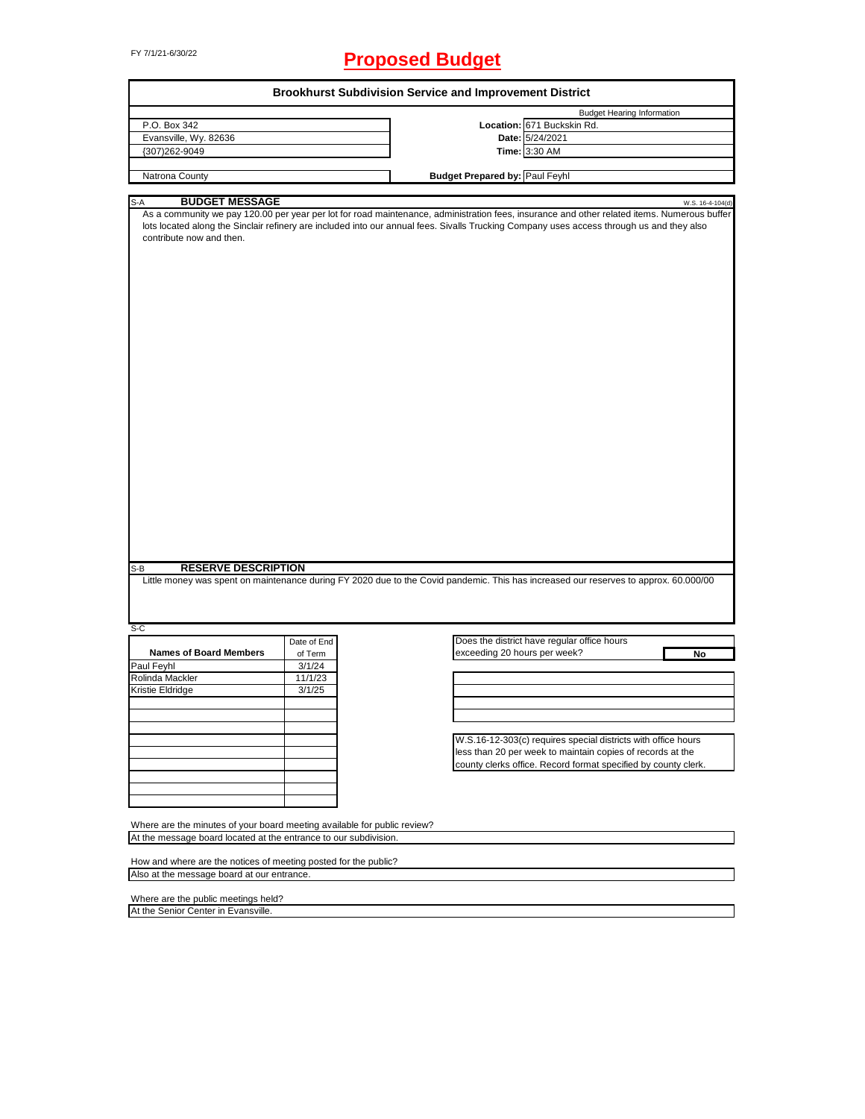# FY 7/1/21-6/30/22 **Proposed Budget**

|                                                                                                                                                                                             |                                                                  | <b>Brookhurst Subdivision Service and Improvement District</b>                                                                                                                                                                                                                                               |
|---------------------------------------------------------------------------------------------------------------------------------------------------------------------------------------------|------------------------------------------------------------------|--------------------------------------------------------------------------------------------------------------------------------------------------------------------------------------------------------------------------------------------------------------------------------------------------------------|
| P.O. Box 342                                                                                                                                                                                |                                                                  | <b>Budget Hearing Information</b><br>Location: 671 Buckskin Rd.                                                                                                                                                                                                                                              |
| Evansville, Wy. 82636                                                                                                                                                                       |                                                                  | Date: 5/24/2021                                                                                                                                                                                                                                                                                              |
| {307)262-9049                                                                                                                                                                               |                                                                  |                                                                                                                                                                                                                                                                                                              |
|                                                                                                                                                                                             |                                                                  | Time: 3:30 AM                                                                                                                                                                                                                                                                                                |
| Natrona County                                                                                                                                                                              |                                                                  | <b>Budget Prepared by: Paul Feyhl</b>                                                                                                                                                                                                                                                                        |
|                                                                                                                                                                                             |                                                                  |                                                                                                                                                                                                                                                                                                              |
| <b>BUDGET MESSAGE</b>                                                                                                                                                                       |                                                                  |                                                                                                                                                                                                                                                                                                              |
| S-A<br>contribute now and then.                                                                                                                                                             |                                                                  | W.S. 16-4-104(d)<br>As a community we pay 120.00 per year per lot for road maintenance, administration fees, insurance and other related items. Numerous buffer<br>lots located along the Sinclair refinery are included into our annual fees. Sivalls Trucking Company uses access through us and they also |
| <b>RESERVE DESCRIPTION</b><br>S-B<br>$S-C$                                                                                                                                                  | Date of End                                                      | Little money was spent on maintenance during FY 2020 due to the Covid pandemic. This has increased our reserves to approx. 60.000/00<br>Does the district have regular office hours                                                                                                                          |
| <b>Names of Board Members</b>                                                                                                                                                               | of Term                                                          | exceeding 20 hours per week?<br>No                                                                                                                                                                                                                                                                           |
| Paul Feyhl                                                                                                                                                                                  | 3/1/24                                                           |                                                                                                                                                                                                                                                                                                              |
| Rolinda Mackler                                                                                                                                                                             | 11/1/23                                                          |                                                                                                                                                                                                                                                                                                              |
| Kristie Eldridge                                                                                                                                                                            | 3/1/25                                                           |                                                                                                                                                                                                                                                                                                              |
|                                                                                                                                                                                             |                                                                  |                                                                                                                                                                                                                                                                                                              |
|                                                                                                                                                                                             |                                                                  |                                                                                                                                                                                                                                                                                                              |
|                                                                                                                                                                                             |                                                                  |                                                                                                                                                                                                                                                                                                              |
|                                                                                                                                                                                             |                                                                  | W.S.16-12-303(c) requires special districts with office hours                                                                                                                                                                                                                                                |
|                                                                                                                                                                                             |                                                                  | less than 20 per week to maintain copies of records at the                                                                                                                                                                                                                                                   |
|                                                                                                                                                                                             |                                                                  | county clerks office. Record format specified by county clerk.                                                                                                                                                                                                                                               |
|                                                                                                                                                                                             |                                                                  |                                                                                                                                                                                                                                                                                                              |
|                                                                                                                                                                                             |                                                                  |                                                                                                                                                                                                                                                                                                              |
|                                                                                                                                                                                             |                                                                  |                                                                                                                                                                                                                                                                                                              |
| Where are the minutes of your board meeting available for public review?                                                                                                                    |                                                                  |                                                                                                                                                                                                                                                                                                              |
|                                                                                                                                                                                             |                                                                  |                                                                                                                                                                                                                                                                                                              |
|                                                                                                                                                                                             | At the message board located at the entrance to our subdivision. |                                                                                                                                                                                                                                                                                                              |
|                                                                                                                                                                                             |                                                                  |                                                                                                                                                                                                                                                                                                              |
|                                                                                                                                                                                             |                                                                  |                                                                                                                                                                                                                                                                                                              |
|                                                                                                                                                                                             |                                                                  |                                                                                                                                                                                                                                                                                                              |
|                                                                                                                                                                                             |                                                                  |                                                                                                                                                                                                                                                                                                              |
| How and where are the notices of meeting posted for the public?<br>Also at the message board at our entrance.<br>Where are the public meetings held?<br>At the Senior Center in Evansville. |                                                                  |                                                                                                                                                                                                                                                                                                              |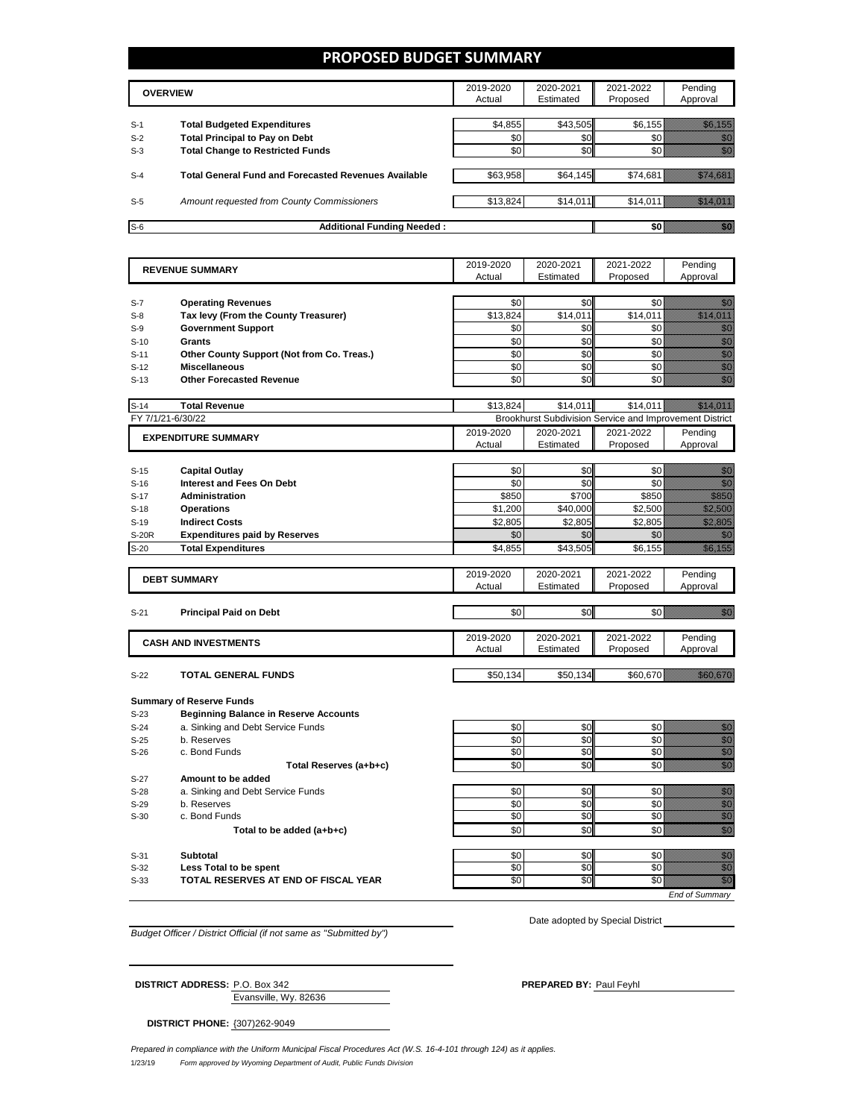#### **PROPOSED BUDGET SUMMARY**

|       | <b>OVERVIEW</b>                                             | 2019-2020<br>Actual | 2020-2021<br>Estimated | 2021-2022<br>Proposed | Pending<br>Approval |
|-------|-------------------------------------------------------------|---------------------|------------------------|-----------------------|---------------------|
| $S-1$ | <b>Total Budgeted Expenditures</b>                          | \$4,855             | \$43.505               | \$6.155               |                     |
| $S-2$ | <b>Total Principal to Pay on Debt</b>                       | \$0                 | \$0                    |                       |                     |
| $S-3$ | <b>Total Change to Restricted Funds</b>                     | \$0                 | \$0                    |                       |                     |
|       |                                                             |                     |                        |                       |                     |
| $S-4$ | <b>Total General Fund and Forecasted Revenues Available</b> | \$63,958            | \$64,145               | \$74,681              |                     |
|       |                                                             |                     |                        |                       |                     |
| $S-5$ | Amount requested from County Commissioners                  | \$13,824            | \$14,011               |                       | \$14,011            |
|       |                                                             |                     |                        |                       |                     |
| $S-6$ | <b>Additional Funding Needed:</b>                           |                     |                        |                       |                     |

| <b>REVENUE SUMMARY</b> |                                              | 2019-2020 | 2020-2021 | 2021-2022                                               | Pending                                                                                                                                                                                                                                                                                                                                                                                                                                                              |
|------------------------|----------------------------------------------|-----------|-----------|---------------------------------------------------------|----------------------------------------------------------------------------------------------------------------------------------------------------------------------------------------------------------------------------------------------------------------------------------------------------------------------------------------------------------------------------------------------------------------------------------------------------------------------|
|                        |                                              | Actual    | Estimated | Proposed                                                | Approval                                                                                                                                                                                                                                                                                                                                                                                                                                                             |
|                        |                                              |           |           |                                                         |                                                                                                                                                                                                                                                                                                                                                                                                                                                                      |
| $S-7$                  | <b>Operating Revenues</b>                    | \$0       | \$0       | \$0                                                     | en de la familie de la familie de la familie de la familie de la familie de la familie de la familie de la fam<br>De la familie de la familie de la familie de la familie de la familie de la familie de la familie de la famili                                                                                                                                                                                                                                     |
| $S-8$                  | Tax levy (From the County Treasurer)         | \$13,824  | \$14,011  | \$14,011                                                | <u>estas para la provincia de la provincia de la provincia del provincia del provincia del provincia del provinc</u>                                                                                                                                                                                                                                                                                                                                                 |
| $S-9$                  | <b>Government Support</b>                    | \$0       | \$0       | \$0                                                     | en de la familie de la familie de la familie de la familie de la familie de la familie de la familie de la fa<br>Concelho de la familie de la familie de la familie de la familie de la familie de la familie de la familie de                                                                                                                                                                                                                                       |
| $S-10$                 | <b>Grants</b>                                | \$0       | \$0       | \$0                                                     | en en de familie de la familie de la familie de la familie de la familie de la familie de la familie de la fam<br>Constitution de la familie de la familie de la familie de la familie de la familie de la familie de la familie                                                                                                                                                                                                                                     |
| $S-11$                 | Other County Support (Not from Co. Treas.)   | \$0       | \$0       | \$0                                                     | en de la familie de la familie de la familie de la familie de la familie de la familie de la familie de la fam<br>Construction de la familie de la familie de la familie de la familie de la familie de la familie de la familie                                                                                                                                                                                                                                     |
| $S-12$                 | <b>Miscellaneous</b>                         | \$0       | \$0       | \$0                                                     | en de la familie de la familie de la familie de la familie de la familie de la familie de la familie de la fam<br>Construction de la familie de la familie de la familie de la familie de la familie de la familie de la familie                                                                                                                                                                                                                                     |
| $S-13$                 | <b>Other Forecasted Revenue</b>              | \$0       | \$0       | \$0                                                     | en de la familie de la familie de la familie de la familie de la familie de la familie de la familie de la fam<br>Constituit de la familie de la familie de la familie de la familie de la familie de la familie de la familie d                                                                                                                                                                                                                                     |
| $S-14$                 | <b>Total Revenue</b>                         | \$13.824  | \$14.011  | \$14.011                                                | <u>istorialisti k</u>                                                                                                                                                                                                                                                                                                                                                                                                                                                |
|                        | FY 7/1/21-6/30/22                            |           |           | Brookhurst Subdivision Service and Improvement District |                                                                                                                                                                                                                                                                                                                                                                                                                                                                      |
|                        |                                              | 2019-2020 | 2020-2021 | 2021-2022                                               | Pending                                                                                                                                                                                                                                                                                                                                                                                                                                                              |
|                        | <b>EXPENDITURE SUMMARY</b>                   | Actual    | Estimated | Proposed                                                | Approval                                                                                                                                                                                                                                                                                                                                                                                                                                                             |
|                        |                                              |           |           |                                                         |                                                                                                                                                                                                                                                                                                                                                                                                                                                                      |
| $S-15$                 | <b>Capital Outlay</b>                        | \$0       | \$0       | \$0                                                     | <u>ti k</u>                                                                                                                                                                                                                                                                                                                                                                                                                                                          |
| $S-16$                 | <b>Interest and Fees On Debt</b>             | \$0       | \$0       | \$0                                                     | en de la familie de la familie de la familie de la familie de la familie de la familie de la familie de la fam<br>Constituit de la familie de la familie de la familie de la familie de la familie de la familie de la familie d                                                                                                                                                                                                                                     |
| $S-17$                 | Administration                               | \$850     | \$700     | \$850                                                   | e de la filosofia<br>Maria de la filosofia                                                                                                                                                                                                                                                                                                                                                                                                                           |
| $S-18$                 | <b>Operations</b>                            | \$1,200   | \$40,000  | \$2,500                                                 | <u> Mariji Sa</u>                                                                                                                                                                                                                                                                                                                                                                                                                                                    |
| $S-19$                 | <b>Indirect Costs</b>                        | \$2,805   | \$2,805   | \$2,805                                                 | <u>Mille Sa</u>                                                                                                                                                                                                                                                                                                                                                                                                                                                      |
| <b>S-20R</b>           | <b>Expenditures paid by Reserves</b>         | \$0       | \$0       | \$0                                                     |                                                                                                                                                                                                                                                                                                                                                                                                                                                                      |
| $S-20$                 | <b>Total Expenditures</b>                    | \$4,855   | \$43,505  | \$6,155                                                 | a katika katika katika katika alikuwa alikuwa alikuwa alikuwa alikuwa alikuwa alikuwa alikuwa alikuwa alikuwa<br>Katika katika katika katika katika katika katika katika katika katika katika katika katika katika katika katik                                                                                                                                                                                                                                      |
|                        |                                              |           |           |                                                         |                                                                                                                                                                                                                                                                                                                                                                                                                                                                      |
|                        | <b>DEBT SUMMARY</b>                          | 2019-2020 | 2020-2021 | 2021-2022                                               | Pending                                                                                                                                                                                                                                                                                                                                                                                                                                                              |
|                        |                                              | Actual    | Estimated | Proposed                                                | Approval                                                                                                                                                                                                                                                                                                                                                                                                                                                             |
|                        |                                              |           |           |                                                         |                                                                                                                                                                                                                                                                                                                                                                                                                                                                      |
| $S-21$                 | <b>Principal Paid on Debt</b>                | \$0       | \$0       | \$0                                                     | elli kuulu                                                                                                                                                                                                                                                                                                                                                                                                                                                           |
|                        |                                              |           |           |                                                         |                                                                                                                                                                                                                                                                                                                                                                                                                                                                      |
|                        | <b>CASH AND INVESTMENTS</b>                  | 2019-2020 | 2020-2021 | 2021-2022                                               | Pending                                                                                                                                                                                                                                                                                                                                                                                                                                                              |
|                        |                                              | Actual    | Estimated | Proposed                                                | Approval                                                                                                                                                                                                                                                                                                                                                                                                                                                             |
| $S-22$                 | <b>TOTAL GENERAL FUNDS</b>                   | \$50,134  | \$50,134  | \$60,670                                                | <u> Kalendari Se</u>                                                                                                                                                                                                                                                                                                                                                                                                                                                 |
|                        |                                              |           |           |                                                         |                                                                                                                                                                                                                                                                                                                                                                                                                                                                      |
|                        | <b>Summary of Reserve Funds</b>              |           |           |                                                         |                                                                                                                                                                                                                                                                                                                                                                                                                                                                      |
| $S-23$                 | <b>Beginning Balance in Reserve Accounts</b> |           |           |                                                         |                                                                                                                                                                                                                                                                                                                                                                                                                                                                      |
| $S-24$                 | a. Sinking and Debt Service Funds            | \$0       | \$0       | \$0                                                     | en de la familie de la familie de la familie de la familie de la familie de la familie de la familie de la fam<br>Espainia                                                                                                                                                                                                                                                                                                                                           |
| $S-25$                 | b. Reserves                                  | \$0       | \$0       | \$0                                                     |                                                                                                                                                                                                                                                                                                                                                                                                                                                                      |
| $S-26$                 | c. Bond Funds                                | \$0       | \$0       | \$0                                                     | e alla segunda<br>Alla segunda<br>Alla segunda                                                                                                                                                                                                                                                                                                                                                                                                                       |
|                        | Total Reserves (a+b+c)                       | \$0       | \$0       | \$0                                                     | en de la filo<br>Maria de la filòla del control de la filòla de la filòla de la filòla de la filòla de la filòla<br>Maria de la filòla de la filòla de la filòla de la filòla de la filòla de la filòla de la filòla de la filòla                                                                                                                                                                                                                                    |
|                        | Amount to be added                           |           |           |                                                         |                                                                                                                                                                                                                                                                                                                                                                                                                                                                      |
| $S-27$                 | a. Sinking and Debt Service Funds            | \$0       | \$0       | \$0                                                     |                                                                                                                                                                                                                                                                                                                                                                                                                                                                      |
|                        |                                              |           |           | \$0                                                     | enne<br>Gallia<br>enni<br>Maria                                                                                                                                                                                                                                                                                                                                                                                                                                      |
| $S-28$                 |                                              |           |           |                                                         |                                                                                                                                                                                                                                                                                                                                                                                                                                                                      |
| $S-29$                 | b. Reserves                                  | \$0       | \$0       |                                                         |                                                                                                                                                                                                                                                                                                                                                                                                                                                                      |
| $S-30$                 | c. Bond Funds                                | \$0       | \$0       | \$0                                                     | enne<br>Militär                                                                                                                                                                                                                                                                                                                                                                                                                                                      |
|                        | Total to be added (a+b+c)                    | \$0       | \$0       | \$0                                                     |                                                                                                                                                                                                                                                                                                                                                                                                                                                                      |
| $S-31$                 | <b>Subtotal</b>                              | \$0       | \$0       | \$0                                                     | en de la familie de la familie de la familie de la familie de la familie de la familie de la familie de la fa<br>Concello de la familie de la familie de la familie de la familie de la familie de la familie de la familie de                                                                                                                                                                                                                                       |
| $S-32$                 | Less Total to be spent                       | \$0       | \$0       | \$0                                                     | en de la familie de la familie de la familie de la familie de la familie de la familie de la familie de la fam<br>De la familie de la familie de la familie de la familie de la familie de la familie de la familie de la famili<br>en de la familie de la familie de la familie de la familie de la familie de la familie de la familie de la fam<br>Constituit de la familie de la familie de la familie de la familie de la familie de la familie de la familie d |
| $S-33$                 | TOTAL RESERVES AT END OF FISCAL YEAR         | \$0       | SO        | $\overline{50}$                                         | en de la familie de la familie de la familie de la familie de la familie de la familie de la familie de la fa<br>Constitution de la familie de la familie de la familie de la familie de la familie de la familie de la familie                                                                                                                                                                                                                                      |

*Budget Officer / District Official (if not same as "Submitted by")*

Date adopted by Special District

| <b>DISTRICT ADDRESS: P.O. Box 342</b> |                       |
|---------------------------------------|-----------------------|
|                                       | Evansville, Wy. 82636 |

**PREPARED BY: Paul Feyhl** 

**DISTRICT PHONE:** {307)262-9049

1/23/19 *Form approved by Wyoming Department of Audit, Public Funds Division Prepared in compliance with the Uniform Municipal Fiscal Procedures Act (W.S. 16-4-101 through 124) as it applies.*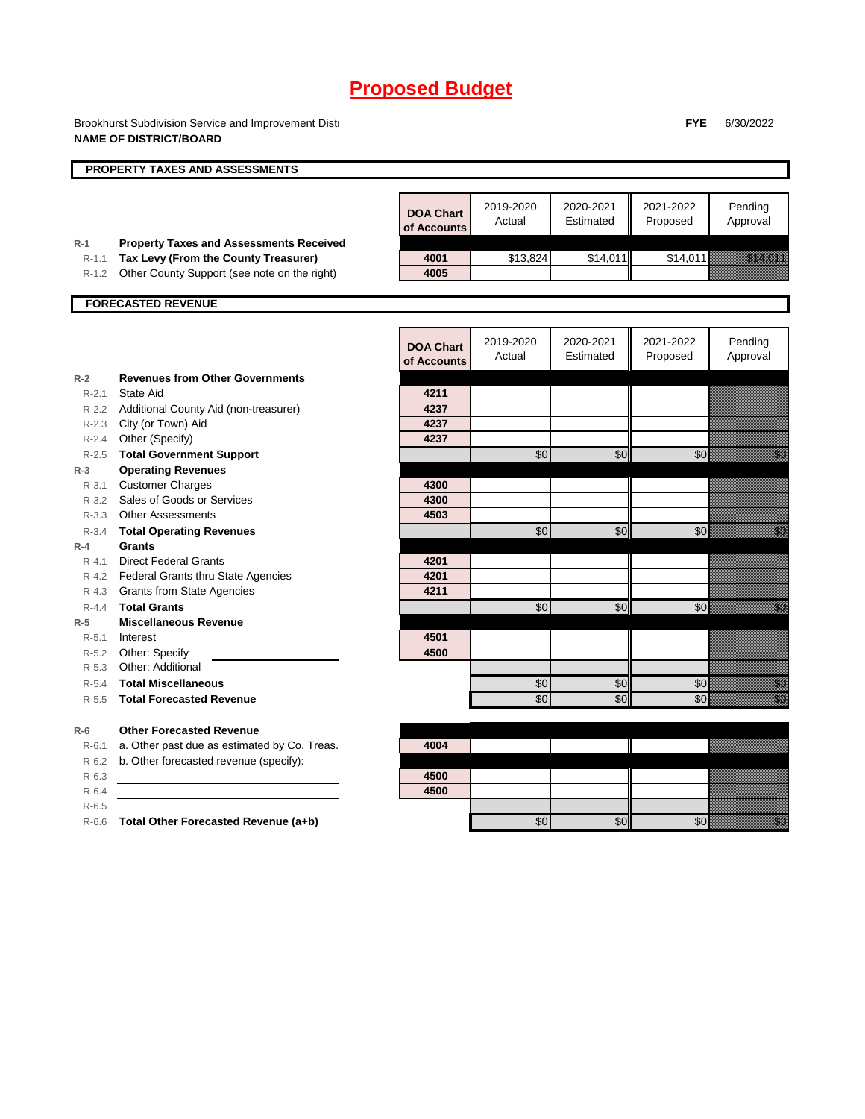Brookhurst Subdivision Service and Improvement Disti **NAME OF DISTRICT/BOARD**

**FYE** 6/30/2022

|           | PROPERTY TAXES AND ASSESSMENTS                 |                                 |                     |                        |                       |                                                                                                                                                                                                                                  |
|-----------|------------------------------------------------|---------------------------------|---------------------|------------------------|-----------------------|----------------------------------------------------------------------------------------------------------------------------------------------------------------------------------------------------------------------------------|
|           |                                                | <b>DOA Chart</b><br>of Accounts | 2019-2020<br>Actual | 2020-2021<br>Estimated | 2021-2022<br>Proposed | Pending<br>Approval                                                                                                                                                                                                              |
| $R-1$     | <b>Property Taxes and Assessments Received</b> |                                 |                     |                        |                       |                                                                                                                                                                                                                                  |
| $R-1.1$   | Tax Levy (From the County Treasurer)           | 4001                            | \$13,824            | \$14,011               | \$14,011              | <u>istoria e</u> l                                                                                                                                                                                                               |
| $R-1.2$   | Other County Support (see note on the right)   | 4005                            |                     |                        |                       |                                                                                                                                                                                                                                  |
|           | <b>FORECASTED REVENUE</b>                      |                                 |                     |                        |                       |                                                                                                                                                                                                                                  |
|           |                                                | <b>DOA Chart</b><br>of Accounts | 2019-2020<br>Actual | 2020-2021<br>Estimated | 2021-2022<br>Proposed | Pending<br>Approval                                                                                                                                                                                                              |
| $R-2$     | <b>Revenues from Other Governments</b>         |                                 |                     |                        |                       |                                                                                                                                                                                                                                  |
| $R-2.1$   | State Aid                                      | 4211                            |                     |                        |                       |                                                                                                                                                                                                                                  |
|           | R-2.2 Additional County Aid (non-treasurer)    | 4237                            |                     |                        |                       |                                                                                                                                                                                                                                  |
|           | R-2.3 City (or Town) Aid                       | 4237                            |                     |                        |                       |                                                                                                                                                                                                                                  |
| $R - 2.4$ | Other (Specify)                                | 4237                            |                     |                        |                       |                                                                                                                                                                                                                                  |
| $R-2.5$   | <b>Total Government Support</b>                |                                 | \$0                 | \$0                    | \$0                   | en de la familie de la familie de la familie de la familie de la familie de la familie de la familie de la fam<br>Constituit de la familie de la familie de la familie de la familie de la familie de la familie de la familie d |
| $R-3$     | <b>Operating Revenues</b>                      |                                 |                     |                        |                       |                                                                                                                                                                                                                                  |
| $R - 3.1$ | <b>Customer Charges</b>                        | 4300                            |                     |                        |                       |                                                                                                                                                                                                                                  |
|           | R-3.2 Sales of Goods or Services               | 4300                            |                     |                        |                       |                                                                                                                                                                                                                                  |
|           | R-3.3 Other Assessments                        | 4503                            |                     |                        |                       |                                                                                                                                                                                                                                  |
| $R - 3.4$ | <b>Total Operating Revenues</b>                |                                 | \$0                 | \$0                    | \$0                   | , and                                                                                                                                                                                                                            |
| $R-4$     | <b>Grants</b>                                  |                                 |                     |                        |                       |                                                                                                                                                                                                                                  |
| $R - 4.1$ | <b>Direct Federal Grants</b>                   | 4201                            |                     |                        |                       |                                                                                                                                                                                                                                  |
|           | R-4.2 Federal Grants thru State Agencies       | 4201                            |                     |                        |                       |                                                                                                                                                                                                                                  |
|           | R-4.3 Grants from State Agencies               | 4211                            |                     |                        |                       |                                                                                                                                                                                                                                  |
| $R - 4.4$ | <b>Total Grants</b>                            |                                 | $\sqrt{6}$          | \$0                    | $\sqrt{6}$            | en de la familie de la familie de la familie de la familie de la familie de la familie de la familie de la fam<br>Constituit de la familie de la familie de la familie de la familie de la familie de la familie de la familie d |
| $R-5$     | <b>Miscellaneous Revenue</b>                   |                                 |                     |                        |                       |                                                                                                                                                                                                                                  |
| $R - 5.1$ | Interest                                       | 4501                            |                     |                        |                       |                                                                                                                                                                                                                                  |
| $R - 5.2$ | Other: Specify                                 | 4500                            |                     |                        |                       |                                                                                                                                                                                                                                  |
| $R-5.3$   | Other: Additional                              |                                 |                     |                        |                       |                                                                                                                                                                                                                                  |
| $R-5.4$   | <b>Total Miscellaneous</b>                     |                                 | \$0                 | \$0                    | \$0                   | en de la familie de la familie de la familie de la familie de la familie de la familie de la familie de la fa<br>Constitution de la familie de la familie de la familie de la familie de la familie de la familie de la familie  |
| $R - 5.5$ | <b>Total Forecasted Revenue</b>                |                                 | \$0                 | \$0                    | \$0                   | en de la familie de la familie de la familie de la familie de la familie de la familie de la familie de la fa<br>Constitution de la familie de la familie de la familie de la familie de la familie de la familie de la familie  |
| $R-6$     | <b>Other Forecasted Revenue</b>                |                                 |                     |                        |                       |                                                                                                                                                                                                                                  |
| $R - 6.1$ | a. Other past due as estimated by Co. Treas.   | 4004                            |                     |                        |                       |                                                                                                                                                                                                                                  |
| $R-6.2$   | b. Other forecasted revenue (specify):         |                                 |                     |                        |                       |                                                                                                                                                                                                                                  |
| $R-6.3$   |                                                | 4500                            |                     |                        |                       |                                                                                                                                                                                                                                  |
| $R-6.4$   |                                                | 4500                            |                     |                        |                       |                                                                                                                                                                                                                                  |
| $R-6.5$   |                                                |                                 |                     |                        |                       |                                                                                                                                                                                                                                  |
| $R-6.6$   | Total Other Forecasted Revenue (a+b)           |                                 | \$0                 | \$0                    | \$0                   | en de la familie de la familie de la familie de la familie de la familie de la familie de la familie de la fam<br>Constituit de la familie de la familie de la familie de la familie de la familie de la familie de la familie d |
|           |                                                |                                 |                     |                        |                       |                                                                                                                                                                                                                                  |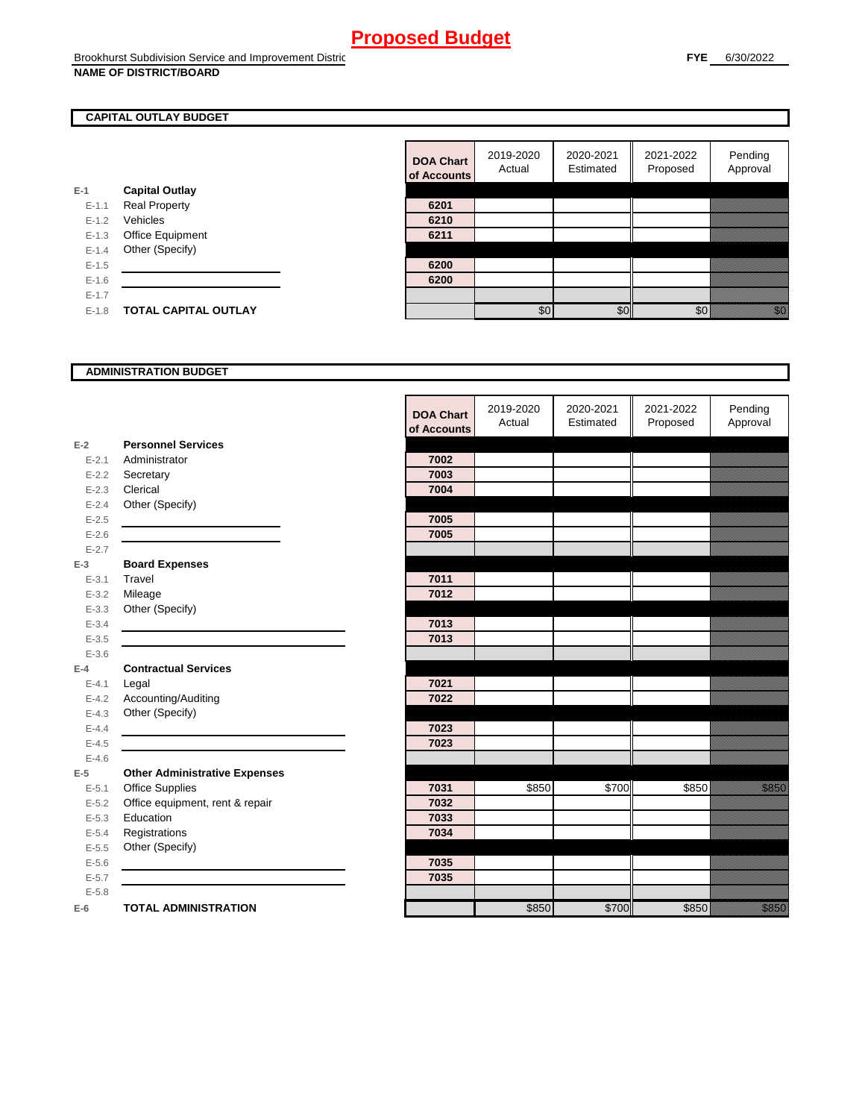#### **CAPITAL OUTLAY BUDGET**

|           |                             | ui Auuu |
|-----------|-----------------------------|---------|
| $E-1$     | <b>Capital Outlay</b>       |         |
| $E - 1.1$ | <b>Real Property</b>        | 6201    |
| $E - 1.2$ | Vehicles                    | 6210    |
| $E-1.3$   | <b>Office Equipment</b>     | 6211    |
| $E - 1.4$ | Other (Specify)             |         |
| $E - 1.5$ |                             | 6200    |
| $E - 1.6$ |                             | 6200    |
| $E - 1.7$ |                             |         |
| $E - 1.8$ | <b>TOTAL CAPITAL OUTLAY</b> |         |
|           |                             |         |

| <b>DOA Chart</b><br>of Accounts | 2019-2020<br>Actual | 2020-2021<br>Estimated | 2021-2022<br>Proposed | Pending<br>Approval |
|---------------------------------|---------------------|------------------------|-----------------------|---------------------|
|                                 |                     |                        |                       |                     |
| 6201                            |                     |                        |                       |                     |
| 6210                            |                     |                        |                       |                     |
| 6211                            |                     |                        |                       |                     |
|                                 |                     |                        |                       |                     |
| 6200                            |                     |                        |                       |                     |
| 6200                            |                     |                        |                       |                     |
|                                 |                     |                        |                       |                     |
|                                 | ፍር                  |                        |                       |                     |

#### **ADMINISTRATION BUDGET**

|           |                                      | <b>DOA Chart</b><br>of Accounts | 2019-2020<br>Actual | 2020-2021<br>Estimated | 2021-2022<br>Proposed | Pending<br>Approval |
|-----------|--------------------------------------|---------------------------------|---------------------|------------------------|-----------------------|---------------------|
| $E-2$     | <b>Personnel Services</b>            |                                 |                     |                        |                       |                     |
| $E - 2.1$ | Administrator                        | 7002                            |                     |                        |                       |                     |
| $E - 2.2$ | Secretary                            | 7003                            |                     |                        |                       |                     |
| $E - 2.3$ | Clerical                             | 7004                            |                     |                        |                       |                     |
| $E - 2.4$ | Other (Specify)                      |                                 |                     |                        |                       |                     |
| $E-2.5$   |                                      | 7005                            |                     |                        |                       |                     |
| $E - 2.6$ |                                      | 7005                            |                     |                        |                       |                     |
| $E - 2.7$ |                                      |                                 |                     |                        |                       |                     |
| $E-3$     | <b>Board Expenses</b>                |                                 |                     |                        |                       |                     |
| $E - 3.1$ | Travel                               | 7011                            |                     |                        |                       |                     |
| $E - 3.2$ | Mileage                              | 7012                            |                     |                        |                       |                     |
| $E - 3.3$ | Other (Specify)                      |                                 |                     |                        |                       |                     |
| $E - 3.4$ |                                      | 7013                            |                     |                        |                       |                     |
| $E - 3.5$ |                                      | 7013                            |                     |                        |                       |                     |
| $E - 3.6$ |                                      |                                 |                     |                        |                       |                     |
| $E-4$     | <b>Contractual Services</b>          |                                 |                     |                        |                       |                     |
| $E - 4.1$ | Legal                                | 7021                            |                     |                        |                       |                     |
| $E - 4.2$ | Accounting/Auditing                  | 7022                            |                     |                        |                       |                     |
| $E - 4.3$ | Other (Specify)                      |                                 |                     |                        |                       |                     |
| $E - 4.4$ |                                      | 7023                            |                     |                        |                       |                     |
| $E-4.5$   |                                      | 7023                            |                     |                        |                       |                     |
| $E-4.6$   |                                      |                                 |                     |                        |                       |                     |
| $E-5$     | <b>Other Administrative Expenses</b> |                                 |                     |                        |                       |                     |
| $E - 5.1$ | Office Supplies                      | 7031                            | \$850               | \$700                  | \$850                 | <u>tional and</u>   |
| $E - 5.2$ | Office equipment, rent & repair      | 7032                            |                     |                        |                       |                     |
| $E - 5.3$ | Education                            | 7033                            |                     |                        |                       |                     |
| $E - 5.4$ | Registrations                        | 7034                            |                     |                        |                       |                     |
| $E-5.5$   | Other (Specify)                      |                                 |                     |                        |                       |                     |
| $E-5.6$   |                                      | 7035                            |                     |                        |                       |                     |
| $E - 5.7$ |                                      | 7035                            |                     |                        |                       |                     |
| $E - 5.8$ |                                      |                                 |                     |                        |                       |                     |
| $E-6$     | <b>TOTAL ADMINISTRATION</b>          |                                 | \$850               | \$700                  | \$850                 | <u>ti ka</u>        |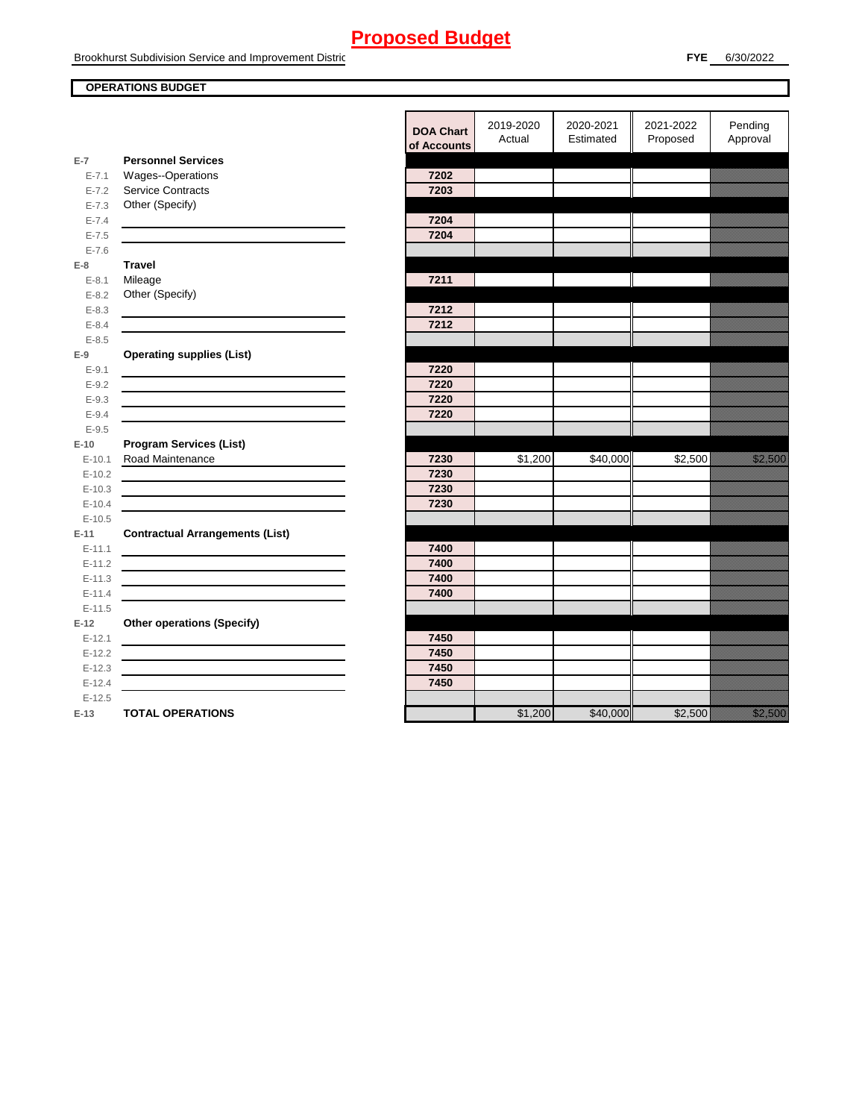#### **OPERATIONS BUDGET**

**E-7**

**E-8 Travel**

**E-9**

**E-10**

**E-11 Contractual Arrangements (List)** 

**E-12 Other operations (Specify)** 

|            |                                                                                 | <b>DOA Chart</b><br>of Accounts | 2019-2020<br>Actual | 2020-2021<br>Estimated | 2021-2022<br>Proposed | Pending<br>Approval     |
|------------|---------------------------------------------------------------------------------|---------------------------------|---------------------|------------------------|-----------------------|-------------------------|
| $E-7$      | <b>Personnel Services</b>                                                       |                                 |                     |                        |                       |                         |
| $E - 7.1$  | <b>Wages--Operations</b>                                                        | 7202                            |                     |                        |                       |                         |
| $E - 7.2$  | <b>Service Contracts</b>                                                        | 7203                            |                     |                        |                       |                         |
| $E - 7.3$  | Other (Specify)                                                                 |                                 |                     |                        |                       |                         |
| $E - 7.4$  |                                                                                 | 7204                            |                     |                        |                       |                         |
| $E - 7.5$  |                                                                                 | 7204                            |                     |                        |                       |                         |
| $E - 7.6$  |                                                                                 |                                 |                     |                        |                       |                         |
| E-8        | <b>Travel</b>                                                                   |                                 |                     |                        |                       |                         |
| $E - 8.1$  | Mileage                                                                         | 7211                            |                     |                        |                       |                         |
| $E - 8.2$  | Other (Specify)                                                                 |                                 |                     |                        |                       |                         |
| $E - 8.3$  |                                                                                 | 7212                            |                     |                        |                       |                         |
| $E - 8.4$  |                                                                                 | 7212                            |                     |                        |                       |                         |
| $E - 8.5$  |                                                                                 |                                 |                     |                        |                       |                         |
| $E-9$      | <b>Operating supplies (List)</b>                                                |                                 |                     |                        |                       |                         |
| $E - 9.1$  |                                                                                 | 7220                            |                     |                        |                       |                         |
| $E - 9.2$  |                                                                                 | 7220                            |                     |                        |                       |                         |
| $E - 9.3$  |                                                                                 | 7220                            |                     |                        |                       |                         |
| $E - 9.4$  |                                                                                 | 7220                            |                     |                        |                       |                         |
| $E - 9.5$  |                                                                                 |                                 |                     |                        |                       |                         |
| $E-10$     | <b>Program Services (List)</b>                                                  |                                 |                     |                        |                       |                         |
| $E - 10.1$ | Road Maintenance                                                                | 7230                            | \$1,200             | \$40,000               | \$2,500               | <u>ta kasaalahan ka</u> |
| $E-10.2$   |                                                                                 | 7230                            |                     |                        |                       |                         |
| $E-10.3$   |                                                                                 | 7230                            |                     |                        |                       |                         |
| $E-10.4$   |                                                                                 | 7230                            |                     |                        |                       |                         |
| $E-10.5$   |                                                                                 |                                 |                     |                        |                       |                         |
| $E-11$     | <b>Contractual Arrangements (List)</b>                                          |                                 |                     |                        |                       |                         |
| $E - 11.1$ |                                                                                 | 7400                            |                     |                        |                       |                         |
| $E-11.2$   |                                                                                 | 7400                            |                     |                        |                       |                         |
| $E-11.3$   | the contract of the contract of the contract of the contract of the contract of | 7400                            |                     |                        |                       |                         |
| $E-11.4$   |                                                                                 | 7400                            |                     |                        |                       |                         |
| $E-11.5$   |                                                                                 |                                 |                     |                        |                       |                         |
| $E-12$     | <b>Other operations (Specify)</b>                                               |                                 |                     |                        |                       |                         |
| $E-12.1$   |                                                                                 | 7450                            |                     |                        |                       |                         |
| $E-12.2$   |                                                                                 | 7450                            |                     |                        |                       |                         |
| $E-12.3$   | <u> 1989 - Johann Barbara, martxa alemaniar a</u>                               | 7450                            |                     |                        |                       |                         |
| $E-12.4$   |                                                                                 | 7450                            |                     |                        |                       |                         |
| $E-12.5$   |                                                                                 |                                 |                     |                        |                       |                         |
| $E-13$     | <b>TOTAL OPERATIONS</b>                                                         |                                 | \$1,200             | \$40,000               | \$2,500               | <u>ti ka</u>            |
|            |                                                                                 |                                 |                     |                        |                       |                         |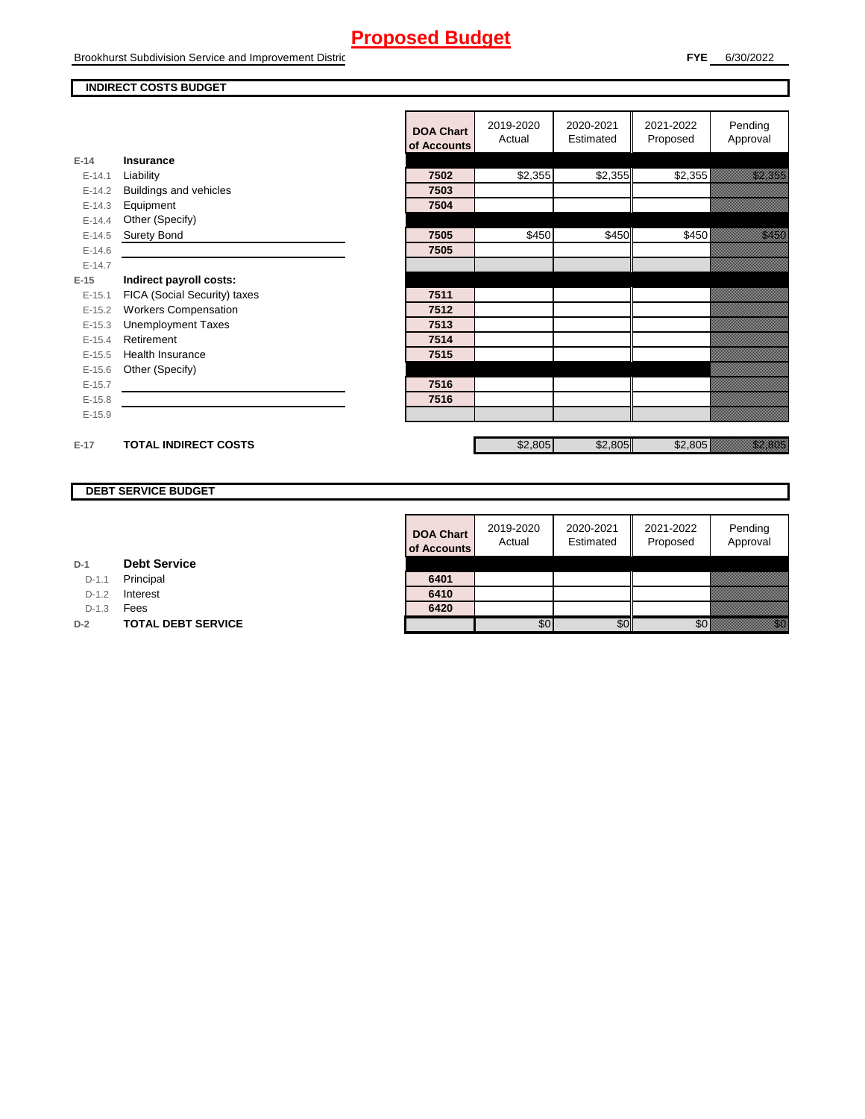Brookhurst Subdivision Service and Improvement Distric

#### **INDIRECT COSTS BUDGET**

|            |                              | <b>DOA Chart</b><br>of Accounts | 2019-2020<br>Actual | 2020-2021<br>Estimated | 2021-2022<br>Proposed | Pending<br>Approval  |
|------------|------------------------------|---------------------------------|---------------------|------------------------|-----------------------|----------------------|
| $E-14$     | Insurance                    |                                 |                     |                        |                       |                      |
| $E - 14.1$ | Liability                    | 7502                            | \$2,355             | \$2,355                | \$2,355               | <u> Karlingan Sa</u> |
| $E-14.2$   | Buildings and vehicles       | 7503                            |                     |                        |                       |                      |
| $E-14.3$   | Equipment                    | 7504                            |                     |                        |                       |                      |
| $E-14.4$   | Other (Specify)              |                                 |                     |                        |                       |                      |
| $E-14.5$   | <b>Surety Bond</b>           | 7505                            | \$450               | \$450                  | \$450                 | <u>The Colombia</u>  |
| $E-14.6$   |                              | 7505                            |                     |                        |                       |                      |
| $E-14.7$   |                              |                                 |                     |                        |                       |                      |
| $E-15$     | Indirect payroll costs:      |                                 |                     |                        |                       |                      |
| $E-15.1$   | FICA (Social Security) taxes | 7511                            |                     |                        |                       |                      |
| $E-15.2$   | <b>Workers Compensation</b>  | 7512                            |                     |                        |                       |                      |
| $E-15.3$   | <b>Unemployment Taxes</b>    | 7513                            |                     |                        |                       |                      |
| $E-15.4$   | Retirement                   | 7514                            |                     |                        |                       |                      |
| $E-15.5$   | Health Insurance             | 7515                            |                     |                        |                       |                      |
| $E-15.6$   | Other (Specify)              |                                 |                     |                        |                       |                      |
| $E-15.7$   |                              | 7516                            |                     |                        |                       |                      |
| $E-15.8$   |                              | 7516                            |                     |                        |                       |                      |
| $E-15.9$   |                              |                                 |                     |                        |                       |                      |
| $E-17$     | <b>TOTAL INDIRECT COSTS</b>  |                                 | \$2,805             | \$2,805                | \$2,805               | a a an ainm          |

#### **DEBT SERVICE BUDGET**

| <b>DOA Chart</b><br>of Accounts | 2019-2020<br>Actual | 2020-2021<br>Estimated | 2021-2022<br>Proposed | Pending<br>Approval |
|---------------------------------|---------------------|------------------------|-----------------------|---------------------|
|                                 |                     |                        |                       |                     |
| 6401                            |                     |                        |                       |                     |
| 6410                            |                     |                        |                       |                     |
| 6420                            |                     |                        |                       |                     |
|                                 |                     |                        |                       |                     |

**D-1** D-1.1 Principal **Debt Service**

D-1.2 **Interest** 

D-1.3 **Fees** 

**D-2 TOTAL DEBT SERVICE**